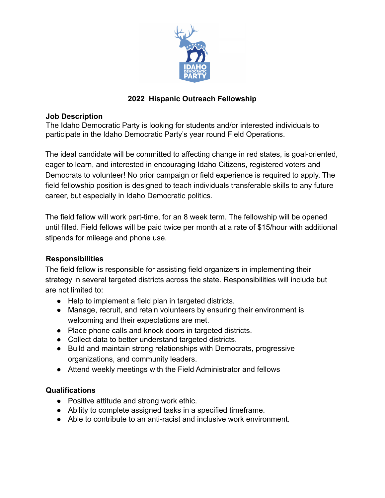

#### **2022 Hispanic Outreach Fellowship**

#### **Job Description**

The Idaho Democratic Party is looking for students and/or interested individuals to participate in the Idaho Democratic Party's year round Field Operations.

The ideal candidate will be committed to affecting change in red states, is goal-oriented, eager to learn, and interested in encouraging Idaho Citizens, registered voters and Democrats to volunteer! No prior campaign or field experience is required to apply. The field fellowship position is designed to teach individuals transferable skills to any future career, but especially in Idaho Democratic politics.

The field fellow will work part-time, for an 8 week term. The fellowship will be opened until filled. Field fellows will be paid twice per month at a rate of \$15/hour with additional stipends for mileage and phone use.

## **Responsibilities**

The field fellow is responsible for assisting field organizers in implementing their strategy in several targeted districts across the state. Responsibilities will include but are not limited to:

- Help to implement a field plan in targeted districts.
- Manage, recruit, and retain volunteers by ensuring their environment is welcoming and their expectations are met.
- Place phone calls and knock doors in targeted districts.
- Collect data to better understand targeted districts.
- Build and maintain strong relationships with Democrats, progressive organizations, and community leaders.
- Attend weekly meetings with the Field Administrator and fellows

## **Qualifications**

- Positive attitude and strong work ethic.
- Ability to complete assigned tasks in a specified timeframe.
- Able to contribute to an anti-racist and inclusive work environment.